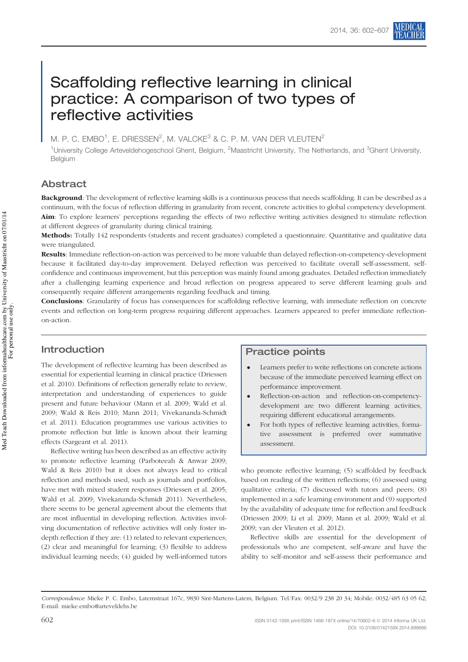# Scaffolding reflective learning in clinical practice: A comparison of two types of reflective activities

M. P. C. EMBO<sup>1</sup>, E. DRIESSEN<sup>2</sup>, M. VALCKE<sup>3</sup> & C. P. M. VAN DER VLEUTEN<sup>2</sup>

<sup>1</sup>University College Arteveldehogeschool Ghent, Belgium, <sup>2</sup>Maastricht University, The Netherlands, and <sup>3</sup>Ghent University, Belgium

# Abstract

**Background**: The development of reflective learning skills is a continuous process that needs scaffolding. It can be described as a continuum, with the focus of reflection differing in granularity from recent, concrete activities to global competency development. Aim: To explore learners' perceptions regarding the effects of two reflective writing activities designed to stimulate reflection at different degrees of granularity during clinical training.

Methods: Totally 142 respondents (students and recent graduates) completed a questionnaire. Quantitative and qualitative data were triangulated.

Results: Immediate reflection-on-action was perceived to be more valuable than delayed reflection-on-competency-development because it facilitated day-to-day improvement. Delayed reflection was perceived to facilitate overall self-assessment, selfconfidence and continuous improvement, but this perception was mainly found among graduates. Detailed reflection immediately after a challenging learning experience and broad reflection on progress appeared to serve different learning goals and consequently require different arrangements regarding feedback and timing.

Conclusions: Granularity of focus has consequences for scaffolding reflective learning, with immediate reflection on concrete events and reflection on long-term progress requiring different approaches. Learners appeared to prefer immediate reflectionon-action.

# Introduction

The development of reflective learning has been described as essential for experiential learning in clinical practice (Driessen et al. [2010](#page-4-0)). Definitions of reflection generally relate to review, interpretation and understanding of experiences to guide present and future behaviour (Mann et al. [2009;](#page-5-0) Wald et al. [2009](#page-5-0); Wald & Reis [2010](#page-5-0); Mann [2011;](#page-5-0) Vivekananda-Schmidt et al. [2011](#page-5-0)). Education programmes use various activities to promote reflection but little is known about their learning effects (Sargeant et al. [2011\)](#page-5-0).

Reflective writing has been described as an effective activity to promote reflective learning (Parboteeah & Anwar [2009](#page-5-0); Wald & Reis [2010](#page-5-0)) but it does not always lead to critical reflection and methods used, such as journals and portfolios, have met with mixed student responses (Driessen et al. [2005](#page-5-0); Wald et al. [2009;](#page-5-0) Vivekananda-Schmidt [2011\)](#page-5-0). Nevertheless, there seems to be general agreement about the elements that are most influential in developing reflection. Activities involving documentation of reflective activities will only foster indepth reflection if they are: (1) related to relevant experiences; (2) clear and meaningful for learning; (3) flexible to address individual learning needs; (4) guided by well-informed tutors

# Practice points

- ! Learners prefer to write reflections on concrete actions because of the immediate perceived learning effect on performance improvement.
- Reflection-on-action and reflection-on-competencydevelopment are two different learning activities, requiring different educational arrangements.
- ! For both types of reflective learning activities, formative assessment is preferred over summative assessment.

who promote reflective learning; (5) scaffolded by feedback based on reading of the written reflections; (6) assessed using qualitative criteria; (7) discussed with tutors and peers; (8) implemented in a safe learning environment and (9) supported by the availability of adequate time for reflection and feedback (Driessen [2009](#page-4-0); Li et al. [2009;](#page-5-0) Mann et al. [2009;](#page-5-0) Wald et al. [2009;](#page-5-0) van der Vleuten et al. [2012\)](#page-5-0).

Reflective skills are essential for the development of professionals who are competent, self-aware and have the ability to self-monitor and self-assess their performance and

Correspondence: Mieke P. C. Embo, Latemstraat 167c, 9830 Sint-Martens-Latem, Belgium. Tel/Fax: 0032/9 238 20 34; Mobile: 0032/485 63 05 62; E-mail: mieke.embo@arteveldehs.be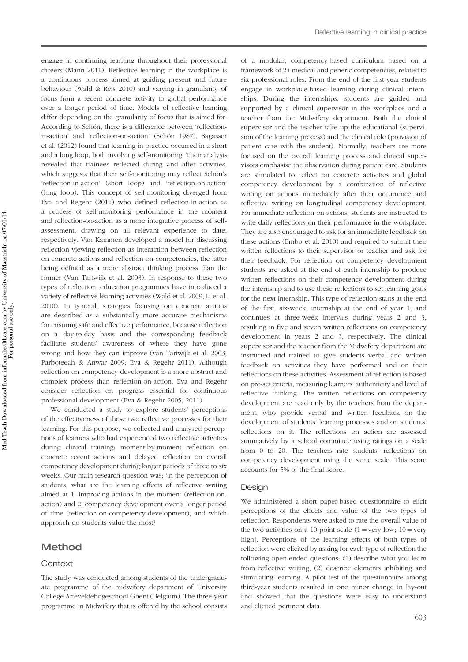Med Teach Downloaded from informahealthcare.com by University of Maastricht on 07/01/14 Med Teach Downloaded from informahealthcare.com by University of Maastricht on 07/01/14 For personal use only.

engage in continuing learning throughout their professional careers (Mann [2011](#page-5-0)). Reflective learning in the workplace is a continuous process aimed at guiding present and future behaviour (Wald & Reis [2010\)](#page-5-0) and varying in granularity of focus from a recent concrete activity to global performance over a longer period of time. Models of reflective learning differ depending on the granularity of focus that is aimed for. According to Schön, there is a difference between 'reflection-in-action' and 'reflection-on-action' (Schön [1987\)](#page-5-0). Sagasser et al. ([2012](#page-5-0)) found that learning in practice occurred in a short and a long loop, both involving self-monitoring. Their analysis revealed that trainees reflected during and after activities, which suggests that their self-monitoring may reflect Schön's 'reflection-in-action' (short loop) and 'reflection-on-action' (long loop). This concept of self-monitoring diverged from Eva and Regehr [\(2011](#page-5-0)) who defined reflection-in-action as a process of self-monitoring performance in the moment and reflection-on-action as a more integrative process of selfassessment, drawing on all relevant experience to date, respectively. Van Kammen developed a model for discussing reflection viewing reflection as interaction between reflection on concrete actions and reflection on competencies, the latter being defined as a more abstract thinking process than the former (Van Tartwijk et al. [2003](#page-5-0)). In response to these two types of reflection, education programmes have introduced a variety of reflective learning activities (Wald et al. [2009;](#page-5-0) Li et al. 2010). In general, strategies focusing on concrete actions are described as a substantially more accurate mechanisms for ensuring safe and effective performance, because reflection on a day-to-day basis and the corresponding feedback facilitate students' awareness of where they have gone wrong and how they can improve (van Tartwijk et al. [2003](#page-5-0); Parboteeah & Anwar [2009](#page-5-0); Eva & Regehr [2011\)](#page-5-0). Although reflection-on-competency-development is a more abstract and complex process than reflection-on-action, Eva and Regehr consider reflection on progress essential for continuous professional development (Eva & Regehr [2005, 2011](#page-5-0)).

We conducted a study to explore students' perceptions of the effectiveness of these two reflective processes for their learning. For this purpose, we collected and analysed perceptions of learners who had experienced two reflective activities during clinical training: moment-by-moment reflection on concrete recent actions and delayed reflection on overall competency development during longer periods of three to six weeks. Our main research question was: 'in the perception of students, what are the learning effects of reflective writing aimed at 1: improving actions in the moment (reflection-onaction) and 2: competency development over a longer period of time (reflection-on-competency-development), and which approach do students value the most?

# Method

#### **Context**

The study was conducted among students of the undergraduate programme of the midwifery department of University College Arteveldehogeschool Ghent (Belgium). The three-year programme in Midwifery that is offered by the school consists

of a modular, competency-based curriculum based on a framework of 24 medical and generic competencies, related to six professional roles. From the end of the first year students engage in workplace-based learning during clinical internships. During the internships, students are guided and supported by a clinical supervisor in the workplace and a teacher from the Midwifery department. Both the clinical supervisor and the teacher take up the educational (supervision of the learning process) and the clinical role (provision of patient care with the student). Normally, teachers are more focused on the overall learning process and clinical supervisors emphasise the observation during patient care. Students are stimulated to reflect on concrete activities and global competency development by a combination of reflective writing on actions immediately after their occurrence and reflective writing on longitudinal competency development. For immediate reflection on actions, students are instructed to write daily reflections on their performance in the workplace. They are also encouraged to ask for an immediate feedback on these actions (Embo et al. [2010\)](#page-5-0) and required to submit their written reflections to their supervisor or teacher and ask for their feedback. For reflection on competency development students are asked at the end of each internship to produce written reflections on their competency development during the internship and to use these reflections to set learning goals for the next internship. This type of reflection starts at the end of the first, six-week, internship at the end of year 1, and continues at three-week intervals during years 2 and 3, resulting in five and seven written reflections on competency development in years 2 and 3, respectively. The clinical supervisor and the teacher from the Midwifery department are instructed and trained to give students verbal and written feedback on activities they have performed and on their reflections on these activities. Assessment of reflection is based on pre-set criteria, measuring learners' authenticity and level of reflective thinking. The written reflections on competency development are read only by the teachers from the department, who provide verbal and written feedback on the development of students' learning processes and on students' reflections on it. The reflections on action are assessed summatively by a school committee using ratings on a scale from 0 to 20. The teachers rate students' reflections on competency development using the same scale. This score accounts for 5% of the final score.

#### Desian

We administered a short paper-based questionnaire to elicit perceptions of the effects and value of the two types of reflection. Respondents were asked to rate the overall value of the two activities on a 10-point scale  $(1 = \text{very low}; 10 = \text{very low})$ high). Perceptions of the learning effects of both types of reflection were elicited by asking for each type of reflection the following open-ended questions: (1) describe what you learn from reflective writing; (2) describe elements inhibiting and stimulating learning. A pilot test of the questionnaire among third-year students resulted in one minor change in lay-out and showed that the questions were easy to understand and elicited pertinent data.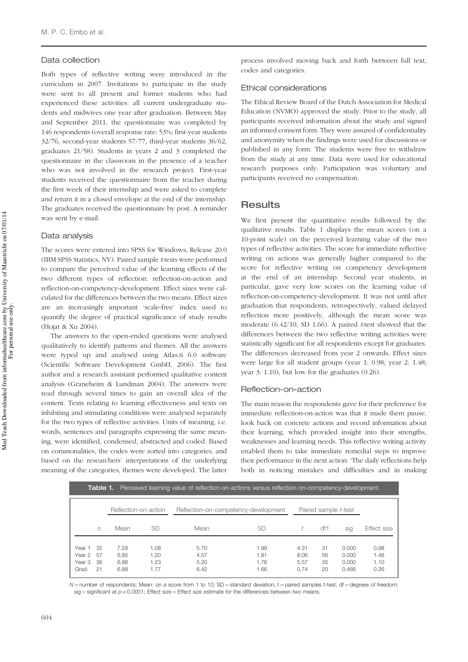#### Data collection

Both types of reflective writing were introduced in the curriculum in 2007. Invitations to participate in the study were sent to all present and former students who had experienced these activities: all current undergraduate students and midwives one year after graduation. Between May and September 2011, the questionnaire was completed by 146 respondents (overall response rate: 53%; first-year students 32/76, second-year students 57/77, third-year students 36/62, graduates 21/58). Students in years 2 and 3 completed the questionnaire in the classroom in the presence of a teacher who was not involved in the research project. First-year students received the questionnaire from the teacher during the first week of their internship and were asked to complete and return it in a closed envelope at the end of the internship. The graduates received the questionnaire by post. A reminder was sent by e-mail.

#### Data analysis

The scores were entered into SPSS for Windows, Release 20.0 (IBM SPSS Statistics, NY). Paired sample t-tests were performed to compare the perceived value of the learning effects of the two different types of reflection: reflection-on-action and reflection-on-competency-development. Effect sizes were calculated for the differences between the two means. Effect sizes are an increasingly important 'scale-free' index used to quantify the degree of practical significance of study results (Hojat & Xu [2004\)](#page-5-0).

The answers to the open-ended questions were analysed qualitatively to identify patterns and themes. All the answers were typed up and analysed using Atlas.ti 6.0 software (Scientific Software Development GmbH, 2006). The first author and a research assistant performed qualitative content analysis (Graneheim & Lundman [2004\)](#page-5-0). The answers were read through several times to gain an overall idea of the content. Texts relating to learning effectiveness and texts on inhibiting and stimulating conditions were analysed separately for the two types of reflective activities. Units of meaning, i.e. words, sentences and paragraphs expressing the same meaning, were identified, condensed, abstracted and coded. Based on commonalities, the codes were sorted into categories, and based on the researchers' interpretations of the underlying meaning of the categories, themes were developed. The latter process involved moving back and forth between full text, codes and categories.

#### Ethical considerations

The Ethical Review Board of the Dutch Association for Medical Education (NVMO) approved the study. Prior to the study, all participants received information about the study and signed an informed consent form. They were assured of confidentiality and anonymity when the findings were used for discussions or published in any form. The students were free to withdraw from the study at any time. Data were used for educational research purposes only. Participation was voluntary and participants received no compensation.

## **Results**

We first present the quantitative results followed by the qualitative results. Table 1 displays the mean scores (on a 10-point scale) on the perceived learning value of the two types of reflective activities. The score for immediate reflective writing on actions was generally higher compared to the score for reflective writing on competency development at the end of an internship. Second year students, in particular, gave very low scores on the learning value of reflection-on-competency-development. It was not until after graduation that respondents, retrospectively, valued delayed reflection more positively, although the mean score was moderate  $(6.42/10, SD 1.66)$ . A paired t-test showed that the differences between the two reflective writing activities were statistically significant for all respondents except for graduates. The differences decreased from year 2 onwards. Effect sizes were large for all student groups (year 1: 0.98; year 2: 1.48; year 3: 1.10), but low for the graduates (0.26).

#### Reflection-on-action

The main reason the respondents gave for their preference for immediate reflection-on-action was that it made them pause, look back on concrete actions and record information about their learning, which provided insight into their strengths, weaknesses and learning needs. This reflective writing activity enabled them to take immediate remedial steps to improve their performance in the next action: 'The daily reflections help both in noticing mistakes and difficulties and in making

| <b>Table 1.</b> Perceived learning value of reflection-on-actions versus reflection-on-competency-development. |           |                              |                              |                                      |                              |                              |                      |                                  |                              |
|----------------------------------------------------------------------------------------------------------------|-----------|------------------------------|------------------------------|--------------------------------------|------------------------------|------------------------------|----------------------|----------------------------------|------------------------------|
|                                                                                                                |           | Reflection-on-action         |                              | Reflection-on-competency-development |                              | Paired sample t-test         |                      |                                  |                              |
|                                                                                                                | n         | Mean                         | SD                           | Mean                                 | SD                           |                              | df1                  | sig                              | Effect size                  |
| Year 1 32<br>Year 2 57<br>Year 3<br>Grad.                                                                      | -36<br>21 | 7.28<br>6.85<br>6.88<br>6.88 | 1.08<br>1.20<br>1.23<br>1.77 | 5.70<br>4.57<br>5.20<br>6.42         | 1.99<br>1.81<br>1.76<br>1.66 | 4.31<br>8.06<br>5.57<br>0.74 | 31<br>56<br>35<br>20 | 0.000<br>0.000<br>0.000<br>0.466 | 0.98<br>1.48<br>1.10<br>0.26 |

 $N$  = number of respondents; Mean: on a score from 1 to 10; SD = standard deviation;  $t$  = paired samples  $t$ -test; df = degrees of freedom;  $s$ ig = significant at  $p < 0.0001$ ; Effect size = Effect size estimate for the differences between two means.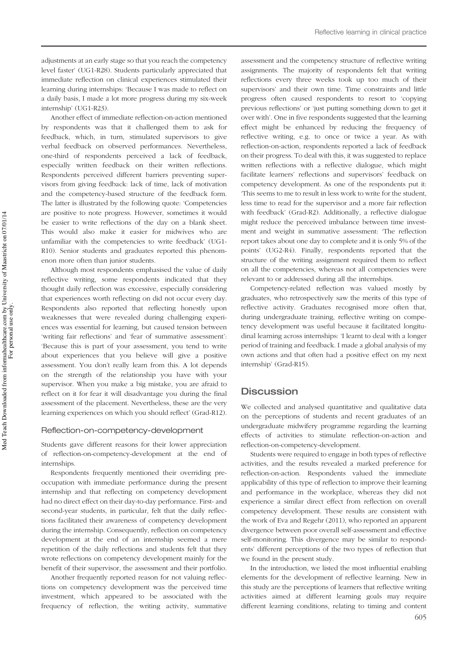adjustments at an early stage so that you reach the competency level faster' (UG1-R28). Students particularly appreciated that immediate reflection on clinical experiences stimulated their learning during internships: 'Because I was made to reflect on a daily basis, I made a lot more progress during my six-week internship' (UG1-R23).

Another effect of immediate reflection-on-action mentioned by respondents was that it challenged them to ask for feedback, which, in turn, stimulated supervisors to give verbal feedback on observed performances. Nevertheless, one-third of respondents perceived a lack of feedback, especially written feedback on their written reflections. Respondents perceived different barriers preventing supervisors from giving feedback: lack of time, lack of motivation and the competency-based structure of the feedback form. The latter is illustrated by the following quote: 'Competencies are positive to note progress. However, sometimes it would be easier to write reflections of the day on a blank sheet. This would also make it easier for midwives who are unfamiliar with the competencies to write feedback' (UG1- R10). Senior students and graduates reported this phenomenon more often than junior students.

Although most respondents emphasised the value of daily reflective writing, some respondents indicated that they thought daily reflection was excessive, especially considering that experiences worth reflecting on did not occur every day. Respondents also reported that reflecting honestly upon weaknesses that were revealed during challenging experiences was essential for learning, but caused tension between 'writing fair reflections' and 'fear of summative assessment': 'Because this is part of your assessment, you tend to write about experiences that you believe will give a positive assessment. You don't really learn from this. A lot depends on the strength of the relationship you have with your supervisor. When you make a big mistake, you are afraid to reflect on it for fear it will disadvantage you during the final assessment of the placement. Nevertheless, these are the very learning experiences on which you should reflect' (Grad-R12).

#### Reflection-on-competency-development

Students gave different reasons for their lower appreciation of reflection-on-competency-development at the end of internships.

Respondents frequently mentioned their overriding preoccupation with immediate performance during the present internship and that reflecting on competency development had no direct effect on their day-to-day performance. First- and second-year students, in particular, felt that the daily reflections facilitated their awareness of competency development during the internship. Consequently, reflection on competency development at the end of an internship seemed a mere repetition of the daily reflections and students felt that they wrote reflections on competency development mainly for the benefit of their supervisor, the assessment and their portfolio.

Another frequently reported reason for not valuing reflections on competency development was the perceived time investment, which appeared to be associated with the frequency of reflection, the writing activity, summative

assessment and the competency structure of reflective writing assignments. The majority of respondents felt that writing reflections every three weeks took up too much of their supervisors' and their own time. Time constraints and little progress often caused respondents to resort to 'copying previous reflections' or 'just putting something down to get it over with'. One in five respondents suggested that the learning effect might be enhanced by reducing the frequency of reflective writing, e.g. to once or twice a year. As with reflection-on-action, respondents reported a lack of feedback on their progress. To deal with this, it was suggested to replace written reflections with a reflective dialogue, which might facilitate learners' reflections and supervisors' feedback on competency development. As one of the respondents put it: 'This seems to me to result in less work to write for the student, less time to read for the supervisor and a more fair reflection with feedback' (Grad-R2). Additionally, a reflective dialogue might reduce the perceived imbalance between time investment and weight in summative assessment: 'The reflection report takes about one day to complete and it is only 5% of the points' (UG2-R4). Finally, respondents reported that the structure of the writing assignment required them to reflect on all the competencies, whereas not all competencies were relevant to or addressed during all the internships.

Competency-related reflection was valued mostly by graduates, who retrospectively saw the merits of this type of reflective activity. Graduates recognised more often that, during undergraduate training, reflective writing on competency development was useful because it facilitated longitudinal learning across internships: 'I learnt to deal with a longer period of training and feedback. I made a global analysis of my own actions and that often had a positive effect on my next internship' (Grad-R15).

# **Discussion**

We collected and analysed quantitative and qualitative data on the perceptions of students and recent graduates of an undergraduate midwifery programme regarding the learning effects of activities to stimulate reflection-on-action and reflection-on-competency-development.

Students were required to engage in both types of reflective activities, and the results revealed a marked preference for reflection-on-action. Respondents valued the immediate applicability of this type of reflection to improve their learning and performance in the workplace, whereas they did not experience a similar direct effect from reflection on overall competency development. These results are consistent with the work of Eva and Regehr ([2011\)](#page-5-0), who reported an apparent divergence between poor overall self-assessment and effective self-monitoring. This divergence may be similar to respondents' different perceptions of the two types of reflection that we found in the present study.

In the introduction, we listed the most influential enabling elements for the development of reflective learning. New in this study are the perceptions of learners that reflective writing activities aimed at different learning goals may require different learning conditions, relating to timing and content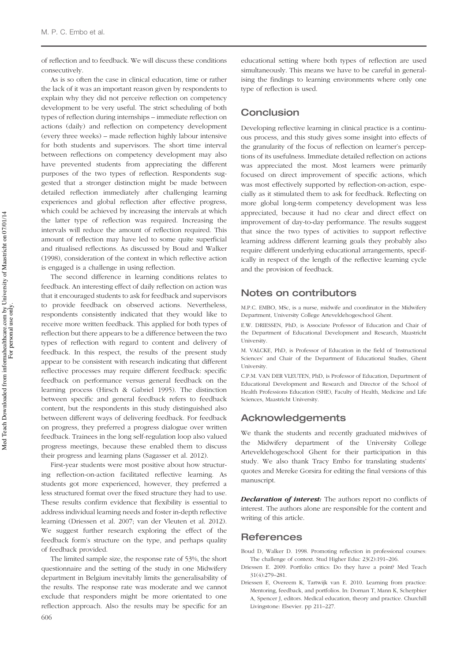<span id="page-4-0"></span>of reflection and to feedback. We will discuss these conditions consecutively.

As is so often the case in clinical education, time or rather the lack of it was an important reason given by respondents to explain why they did not perceive reflection on competency development to be very useful. The strict scheduling of both types of reflection during internships – immediate reflection on actions (daily) and reflection on competency development (every three weeks) – made reflection highly labour intensive for both students and supervisors. The short time interval between reflections on competency development may also have prevented students from appreciating the different purposes of the two types of reflection. Respondents suggested that a stronger distinction might be made between detailed reflection immediately after challenging learning experiences and global reflection after effective progress, which could be achieved by increasing the intervals at which the latter type of reflection was required. Increasing the intervals will reduce the amount of reflection required. This amount of reflection may have led to some quite superficial and ritualised reflections. As discussed by Boud and Walker (1998), consideration of the context in which reflective action is engaged is a challenge in using reflection.

The second difference in learning conditions relates to feedback. An interesting effect of daily reflection on action was that it encouraged students to ask for feedback and supervisors to provide feedback on observed actions. Nevertheless, respondents consistently indicated that they would like to receive more written feedback. This applied for both types of reflection but there appears to be a difference between the two types of reflection with regard to content and delivery of feedback. In this respect, the results of the present study appear to be consistent with research indicating that different reflective processes may require different feedback: specific feedback on performance versus general feedback on the learning process (Hirsch & Gabriel [1995\)](#page-5-0). The distinction between specific and general feedback refers to feedback content, but the respondents in this study distinguished also between different ways of delivering feedback. For feedback on progress, they preferred a progress dialogue over written feedback. Trainees in the long self-regulation loop also valued progress meetings, because these enabled them to discuss their progress and learning plans (Sagasser et al. [2012\)](#page-5-0).

First-year students were most positive about how structuring reflection-on-action facilitated reflective learning. As students got more experienced, however, they preferred a less structured format over the fixed structure they had to use. These results confirm evidence that flexibility is essential to address individual learning needs and foster in-depth reflective learning (Driessen et al. [2007;](#page-5-0) van der Vleuten et al. [2012](#page-5-0)). We suggest further research exploring the effect of the feedback form's structure on the type, and perhaps quality of feedback provided.

The limited sample size, the response rate of 53%, the short questionnaire and the setting of the study in one Midwifery department in Belgium inevitably limits the generalisability of the results. The response rate was moderate and we cannot exclude that responders might be more orientated to one reflection approach. Also the results may be specific for an 606

educational setting where both types of reflection are used simultaneously. This means we have to be careful in generalising the findings to learning environments where only one type of reflection is used.

# **Conclusion**

Developing reflective learning in clinical practice is a continuous process, and this study gives some insight into effects of the granularity of the focus of reflection on learner's perceptions of its usefulness. Immediate detailed reflection on actions was appreciated the most. Most learners were primarily focused on direct improvement of specific actions, which was most effectively supported by reflection-on-action, especially as it stimulated them to ask for feedback. Reflecting on more global long-term competency development was less appreciated, because it had no clear and direct effect on improvement of day-to-day performance. The results suggest that since the two types of activities to support reflective learning address different learning goals they probably also require different underlying educational arrangements, specifically in respect of the length of the reflective learning cycle and the provision of feedback.

## Notes on contributors

M.P.C. EMBO, MSc, is a nurse, midwife and coordinator in the Midwifery Department, University College Arteveldehogeschool Ghent.

E.W. DRIESSEN, PhD, is Associate Professor of Education and Chair of the Department of Educational Development and Research, Maastricht **University** 

M. VALCKE, PhD, is Professor of Education in the field of 'Instructional Sciences' and Chair of the Department of Educational Studies, Ghent University.

C.P.M. VAN DER VLEUTEN, PhD, is Professor of Education, Department of Educational Development and Research and Director of the School of Health Professions Education (SHE), Faculty of Health, Medicine and Life Sciences, Maastricht University.

# Acknowledgements

We thank the students and recently graduated midwives of the Midwifery department of the University College Arteveldehogeschool Ghent for their participation in this study. We also thank Tracy Embo for translating students' quotes and Mereke Gorsira for editing the final versions of this manuscript.

Declaration of interest: The authors report no conflicts of interest. The authors alone are responsible for the content and writing of this article.

## **References**

Boud D, Walker D. 1998. Promoting reflection in professional courses: The challenge of context. Stud Higher Educ 23(2):191–206.

- Driessen E. 2009. Portfolio critics: Do they have a point? Med Teach 31(4):279–281.
- Driessen E, Overeem K, Tartwijk van E. 2010. Learning from practice: Mentoring, feedback, and portfolios. In: Dornan T, Mann K, Scherpbier A, Spencer J, editors. Medical education, theory and practice. Churchill Livingstone: Elsevier. pp 211–227.